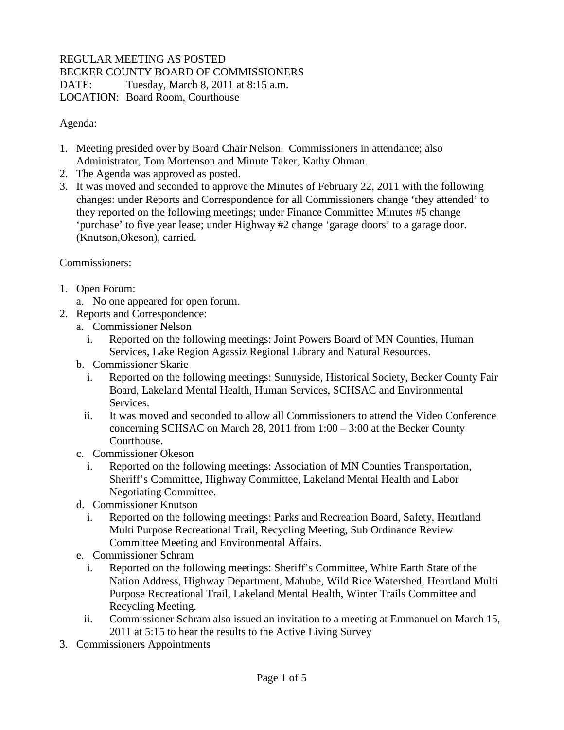## REGULAR MEETING AS POSTED BECKER COUNTY BOARD OF COMMISSIONERS DATE: Tuesday, March 8, 2011 at 8:15 a.m. LOCATION: Board Room, Courthouse

Agenda:

- 1. Meeting presided over by Board Chair Nelson. Commissioners in attendance; also Administrator, Tom Mortenson and Minute Taker, Kathy Ohman.
- 2. The Agenda was approved as posted.
- 3. It was moved and seconded to approve the Minutes of February 22, 2011 with the following changes: under Reports and Correspondence for all Commissioners change 'they attended' to they reported on the following meetings; under Finance Committee Minutes #5 change 'purchase' to five year lease; under Highway #2 change 'garage doors' to a garage door. (Knutson,Okeson), carried.

Commissioners:

- 1. Open Forum:
	- a. No one appeared for open forum.
- 2. Reports and Correspondence:
	- a. Commissioner Nelson
		- i. Reported on the following meetings: Joint Powers Board of MN Counties, Human Services, Lake Region Agassiz Regional Library and Natural Resources.
	- b. Commissioner Skarie
		- i. Reported on the following meetings: Sunnyside, Historical Society, Becker County Fair Board, Lakeland Mental Health, Human Services, SCHSAC and Environmental Services.
		- ii. It was moved and seconded to allow all Commissioners to attend the Video Conference concerning SCHSAC on March 28, 2011 from 1:00 – 3:00 at the Becker County Courthouse.
	- c. Commissioner Okeson
		- i. Reported on the following meetings: Association of MN Counties Transportation, Sheriff's Committee, Highway Committee, Lakeland Mental Health and Labor Negotiating Committee.
	- d. Commissioner Knutson
		- i. Reported on the following meetings: Parks and Recreation Board, Safety, Heartland Multi Purpose Recreational Trail, Recycling Meeting, Sub Ordinance Review Committee Meeting and Environmental Affairs.
	- e. Commissioner Schram
		- i. Reported on the following meetings: Sheriff's Committee, White Earth State of the Nation Address, Highway Department, Mahube, Wild Rice Watershed, Heartland Multi Purpose Recreational Trail, Lakeland Mental Health, Winter Trails Committee and Recycling Meeting.
		- ii. Commissioner Schram also issued an invitation to a meeting at Emmanuel on March 15, 2011 at 5:15 to hear the results to the Active Living Survey
- 3. Commissioners Appointments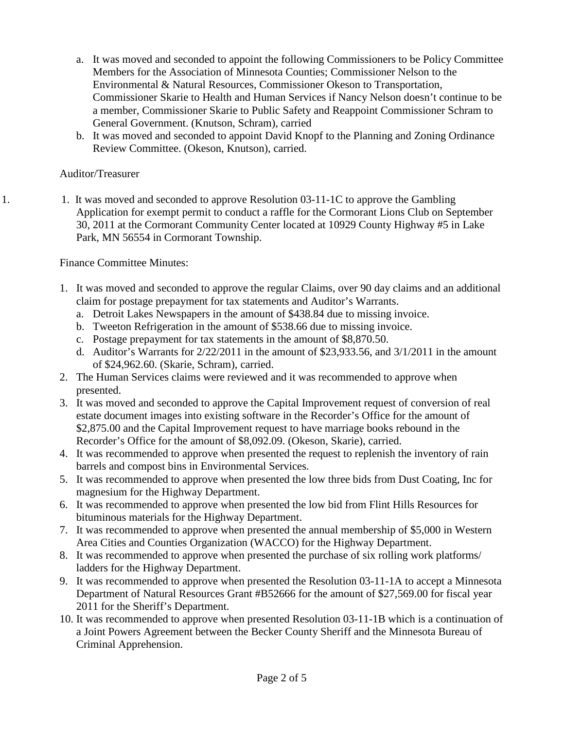- a. It was moved and seconded to appoint the following Commissioners to be Policy Committee Members for the Association of Minnesota Counties; Commissioner Nelson to the Environmental & Natural Resources, Commissioner Okeson to Transportation, Commissioner Skarie to Health and Human Services if Nancy Nelson doesn't continue to be a member, Commissioner Skarie to Public Safety and Reappoint Commissioner Schram to General Government. (Knutson, Schram), carried
- b. It was moved and seconded to appoint David Knopf to the Planning and Zoning Ordinance Review Committee. (Okeson, Knutson), carried.

## Auditor/Treasurer

1. 1. It was moved and seconded to approve Resolution 03-11-1C to approve the Gambling Application for exempt permit to conduct a raffle for the Cormorant Lions Club on September 30, 2011 at the Cormorant Community Center located at 10929 County Highway #5 in Lake Park, MN 56554 in Cormorant Township.

## Finance Committee Minutes:

- 1. It was moved and seconded to approve the regular Claims, over 90 day claims and an additional claim for postage prepayment for tax statements and Auditor's Warrants.
	- a. Detroit Lakes Newspapers in the amount of \$438.84 due to missing invoice.
	- b. Tweeton Refrigeration in the amount of \$538.66 due to missing invoice.
	- c. Postage prepayment for tax statements in the amount of \$8,870.50.
	- d. Auditor's Warrants for 2/22/2011 in the amount of \$23,933.56, and 3/1/2011 in the amount of \$24,962.60. (Skarie, Schram), carried.
- 2. The Human Services claims were reviewed and it was recommended to approve when presented.
- 3. It was moved and seconded to approve the Capital Improvement request of conversion of real estate document images into existing software in the Recorder's Office for the amount of \$2,875.00 and the Capital Improvement request to have marriage books rebound in the Recorder's Office for the amount of \$8,092.09. (Okeson, Skarie), carried.
- 4. It was recommended to approve when presented the request to replenish the inventory of rain barrels and compost bins in Environmental Services.
- 5. It was recommended to approve when presented the low three bids from Dust Coating, Inc for magnesium for the Highway Department.
- 6. It was recommended to approve when presented the low bid from Flint Hills Resources for bituminous materials for the Highway Department.
- 7. It was recommended to approve when presented the annual membership of \$5,000 in Western Area Cities and Counties Organization (WACCO) for the Highway Department.
- 8. It was recommended to approve when presented the purchase of six rolling work platforms/ ladders for the Highway Department.
- 9. It was recommended to approve when presented the Resolution 03-11-1A to accept a Minnesota Department of Natural Resources Grant #B52666 for the amount of \$27,569.00 for fiscal year 2011 for the Sheriff's Department.
- 10. It was recommended to approve when presented Resolution 03-11-1B which is a continuation of a Joint Powers Agreement between the Becker County Sheriff and the Minnesota Bureau of Criminal Apprehension.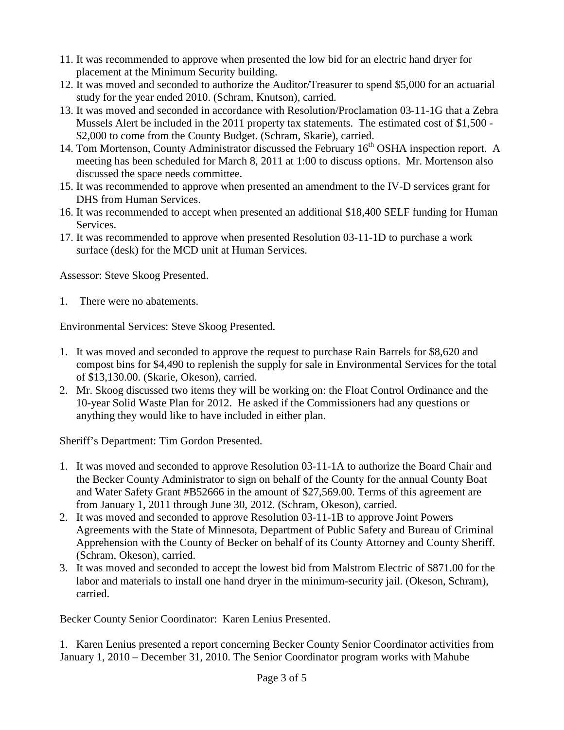- 11. It was recommended to approve when presented the low bid for an electric hand dryer for placement at the Minimum Security building.
- 12. It was moved and seconded to authorize the Auditor/Treasurer to spend \$5,000 for an actuarial study for the year ended 2010. (Schram, Knutson), carried.
- 13. It was moved and seconded in accordance with Resolution/Proclamation 03-11-1G that a Zebra Mussels Alert be included in the 2011 property tax statements. The estimated cost of \$1,500 - \$2,000 to come from the County Budget. (Schram, Skarie), carried.
- 14. Tom Mortenson, County Administrator discussed the February  $16<sup>th</sup>$  OSHA inspection report. A meeting has been scheduled for March 8, 2011 at 1:00 to discuss options. Mr. Mortenson also discussed the space needs committee.
- 15. It was recommended to approve when presented an amendment to the IV-D services grant for DHS from Human Services.
- 16. It was recommended to accept when presented an additional \$18,400 SELF funding for Human Services.
- 17. It was recommended to approve when presented Resolution 03-11-1D to purchase a work surface (desk) for the MCD unit at Human Services.

Assessor: Steve Skoog Presented.

1. There were no abatements.

Environmental Services: Steve Skoog Presented.

- 1. It was moved and seconded to approve the request to purchase Rain Barrels for \$8,620 and compost bins for \$4,490 to replenish the supply for sale in Environmental Services for the total of \$13,130.00. (Skarie, Okeson), carried.
- 2. Mr. Skoog discussed two items they will be working on: the Float Control Ordinance and the 10-year Solid Waste Plan for 2012. He asked if the Commissioners had any questions or anything they would like to have included in either plan.

Sheriff's Department: Tim Gordon Presented.

- 1. It was moved and seconded to approve Resolution 03-11-1A to authorize the Board Chair and the Becker County Administrator to sign on behalf of the County for the annual County Boat and Water Safety Grant #B52666 in the amount of \$27,569.00. Terms of this agreement are from January 1, 2011 through June 30, 2012. (Schram, Okeson), carried.
- 2. It was moved and seconded to approve Resolution 03-11-1B to approve Joint Powers Agreements with the State of Minnesota, Department of Public Safety and Bureau of Criminal Apprehension with the County of Becker on behalf of its County Attorney and County Sheriff. (Schram, Okeson), carried.
- 3. It was moved and seconded to accept the lowest bid from Malstrom Electric of \$871.00 for the labor and materials to install one hand dryer in the minimum-security jail. (Okeson, Schram), carried.

Becker County Senior Coordinator: Karen Lenius Presented.

1. Karen Lenius presented a report concerning Becker County Senior Coordinator activities from January 1, 2010 – December 31, 2010. The Senior Coordinator program works with Mahube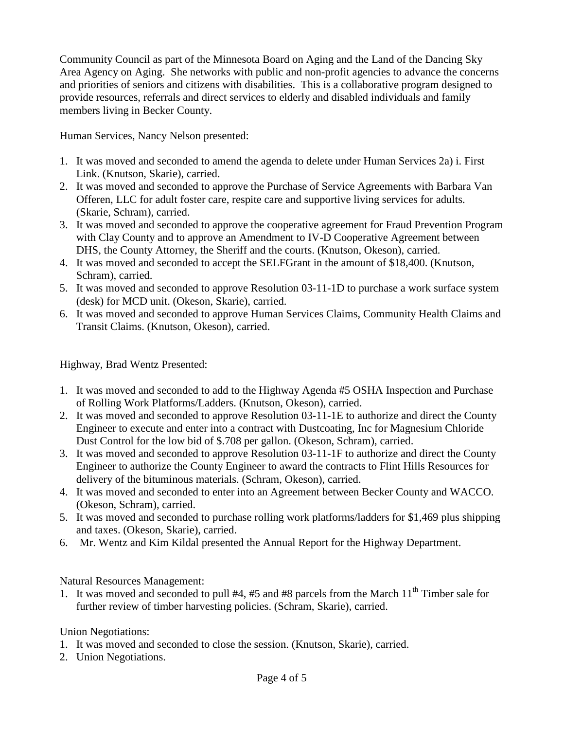Community Council as part of the Minnesota Board on Aging and the Land of the Dancing Sky Area Agency on Aging. She networks with public and non-profit agencies to advance the concerns and priorities of seniors and citizens with disabilities. This is a collaborative program designed to provide resources, referrals and direct services to elderly and disabled individuals and family members living in Becker County.

Human Services, Nancy Nelson presented:

- 1. It was moved and seconded to amend the agenda to delete under Human Services 2a) i. First Link. (Knutson, Skarie), carried.
- 2. It was moved and seconded to approve the Purchase of Service Agreements with Barbara Van Offeren, LLC for adult foster care, respite care and supportive living services for adults. (Skarie, Schram), carried.
- 3. It was moved and seconded to approve the cooperative agreement for Fraud Prevention Program with Clay County and to approve an Amendment to IV-D Cooperative Agreement between DHS, the County Attorney, the Sheriff and the courts. (Knutson, Okeson), carried.
- 4. It was moved and seconded to accept the SELFGrant in the amount of \$18,400. (Knutson, Schram), carried.
- 5. It was moved and seconded to approve Resolution 03-11-1D to purchase a work surface system (desk) for MCD unit. (Okeson, Skarie), carried.
- 6. It was moved and seconded to approve Human Services Claims, Community Health Claims and Transit Claims. (Knutson, Okeson), carried.

Highway, Brad Wentz Presented:

- 1. It was moved and seconded to add to the Highway Agenda #5 OSHA Inspection and Purchase of Rolling Work Platforms/Ladders. (Knutson, Okeson), carried.
- 2. It was moved and seconded to approve Resolution 03-11-1E to authorize and direct the County Engineer to execute and enter into a contract with Dustcoating, Inc for Magnesium Chloride Dust Control for the low bid of \$.708 per gallon. (Okeson, Schram), carried.
- 3. It was moved and seconded to approve Resolution 03-11-1F to authorize and direct the County Engineer to authorize the County Engineer to award the contracts to Flint Hills Resources for delivery of the bituminous materials. (Schram, Okeson), carried.
- 4. It was moved and seconded to enter into an Agreement between Becker County and WACCO. (Okeson, Schram), carried.
- 5. It was moved and seconded to purchase rolling work platforms/ladders for \$1,469 plus shipping and taxes. (Okeson, Skarie), carried.
- 6. Mr. Wentz and Kim Kildal presented the Annual Report for the Highway Department.

Natural Resources Management:

1. It was moved and seconded to pull  $#4, #5$  and  $#8$  parcels from the March  $11<sup>th</sup>$  Timber sale for further review of timber harvesting policies. (Schram, Skarie), carried.

Union Negotiations:

- 1. It was moved and seconded to close the session. (Knutson, Skarie), carried.
- 2. Union Negotiations.